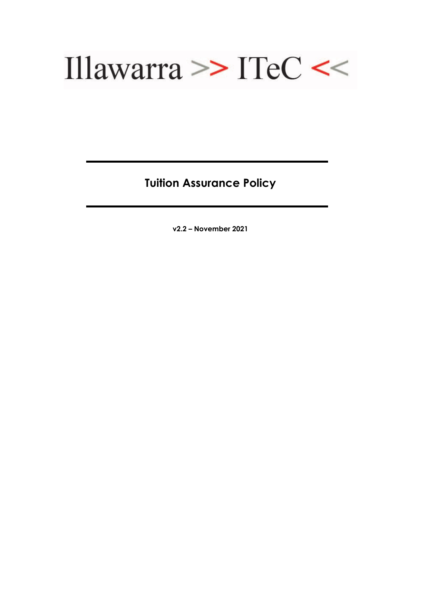

**Tuition Assurance Policy**

**v2.2 – November 2021**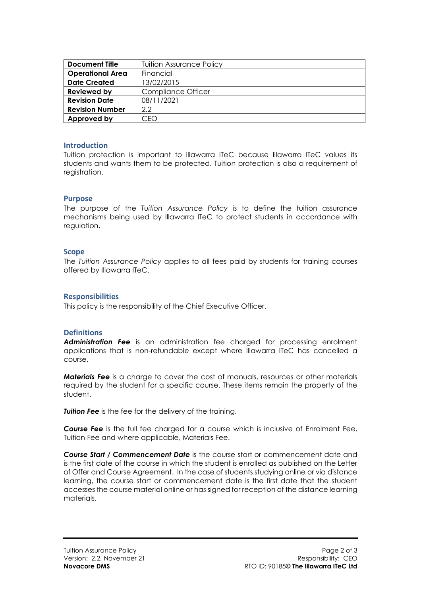| <b>Document Title</b>   | <b>Tuition Assurance Policy</b> |
|-------------------------|---------------------------------|
| <b>Operational Area</b> | Financial                       |
| <b>Date Created</b>     | 13/02/2015                      |
| Reviewed by             | <b>Compliance Officer</b>       |
| <b>Revision Date</b>    | 08/11/2021                      |
| <b>Revision Number</b>  | 2.2                             |
| Approved by             | CFO                             |

# **Introduction**

Tuition protection is important to Illawarra ITeC because Illawarra ITeC values its students and wants them to be protected. Tuition protection is also a requirement of registration.

# **Purpose**

The purpose of the *Tuition Assurance Policy* is to define the tuition assurance mechanisms being used by Illawarra ITeC to protect students in accordance with regulation.

#### **Scope**

The *Tuition Assurance Policy* applies to all fees paid by students for training courses offered by Illawarra ITeC.

# **Responsibilities**

This policy is the responsibility of the Chief Executive Officer.

# **Definitions**

*Administration Fee* is an administration fee charged for processing enrolment applications that is non-refundable except where Illawarra ITeC has cancelled a course.

*Materials Fee* is a charge to cover the cost of manuals, resources or other materials required by the student for a specific course. These items remain the property of the student.

**Tuition Fee** is the fee for the delivery of the training.

*Course Fee* is the full fee charged for a course which is inclusive of Enrolment Fee, Tuition Fee and where applicable, Materials Fee.

*Course Start / Commencement Date* is the course start or commencement date and is the first date of the course in which the student is enrolled as published on the Letter of Offer and Course Agreement. In the case of students studying online or via distance learning, the course start or commencement date is the first date that the student accesses the course material online or has signed for reception of the distance learning materials.